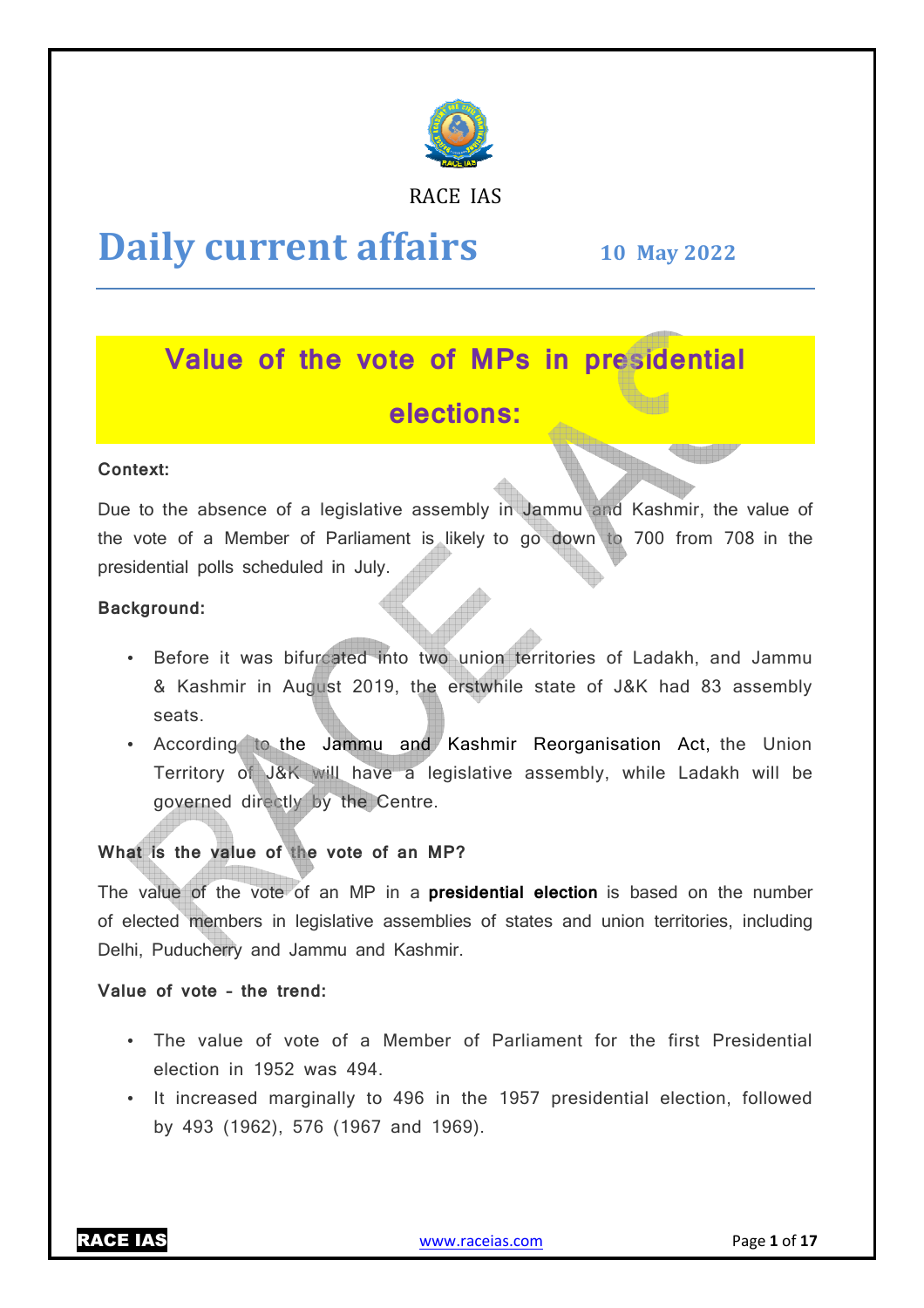

RACE IAS

# **Daily current affairs**

**10 May May 2022**

## **Value of the vote of MPs in presidential elections:**

#### **Context:**

Due to the absence of a legislative assembly in Jammu and Kashmir, the value of the vote of a Member of Parliament is likely to go down to 700 from 708 in the presidential polls scheduled in July.

#### **Background:**

- Before it was bifurcated into two union territories of Ladakh, and Jammu & Kashmir in August 2019, the erstwhile state of J&K had 83 assembly seats.
- According to the Jammu and Kashmir Reorganisation Act, the Union Territory of J&K will have a legislative assembly, while Ladakh will be governed directly by the Centre.

#### **What is the value of the vote of an MP?**

The value of the vote of an MP in a **presidential election** is based on the number of elected members in legislative assemblies of states and union territories, including Delhi, Puducherry and Jammu and Kashmir.

#### **Value of vote – the trend:**

- The value of vote of a Member of Parliament for the first Presidential election in 1952 was 494.
- It increased marginally to 496 in the 1957 presidential election, followed by 493 (1962), 576 (1967 and 1969).

RACE IAS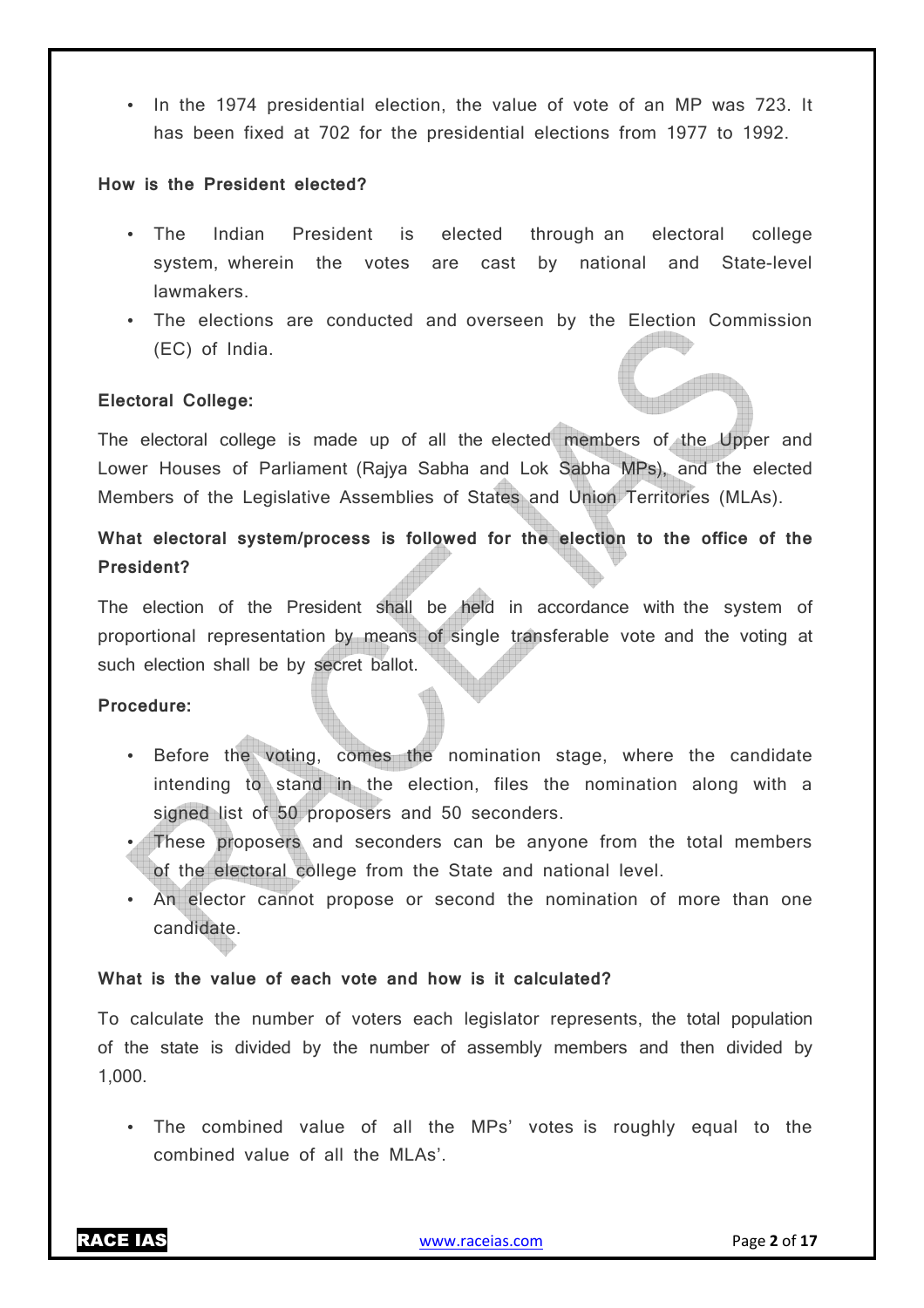• In the 1974 presidential election, the value of vote of an MP was 723. It has been fixed at 702 for the presidential elections from 1977 to 1992.

#### **How is the President elected?**

- The Indian President is elected through an electoral college system, wherein the votes are cast by national and State-level lawmakers.
- The elections are conducted and overseen by the Election Commission (EC) of India.

#### **Electoral College:**

The electoral college is made up of all the elected members of the Upper and Lower Houses of Parliament (Rajya Sabha and Lok Sabha MPs), and the elected Members of the Legislative Assemblies of States and Union Territories (MLAs).

#### **What electoral system/process is followed for the election to the office of the President?**

The election of the President shall be held in accordance with the system of proportional representation by means of single transferable vote and the voting at such election shall be by secret ballot.

#### **Procedure:**

- Before the voting, comes the nomination stage, where the candidate intending to stand in the election, files the nomination along with a signed list of 50 proposers and 50 seconders.
- These proposers and seconders can be anyone from the total members of the electoral college from the State and national level.
- An elector cannot propose or second the nomination of more than one candidate.

#### **What is the value of each vote and how is it calculated?**

To calculate the number of voters each legislator represents, the total population of the state is divided by the number of assembly members and then divided by 1,000.

• The combined value of all the MPs' votes is roughly equal to the combined value of all the MLAs'.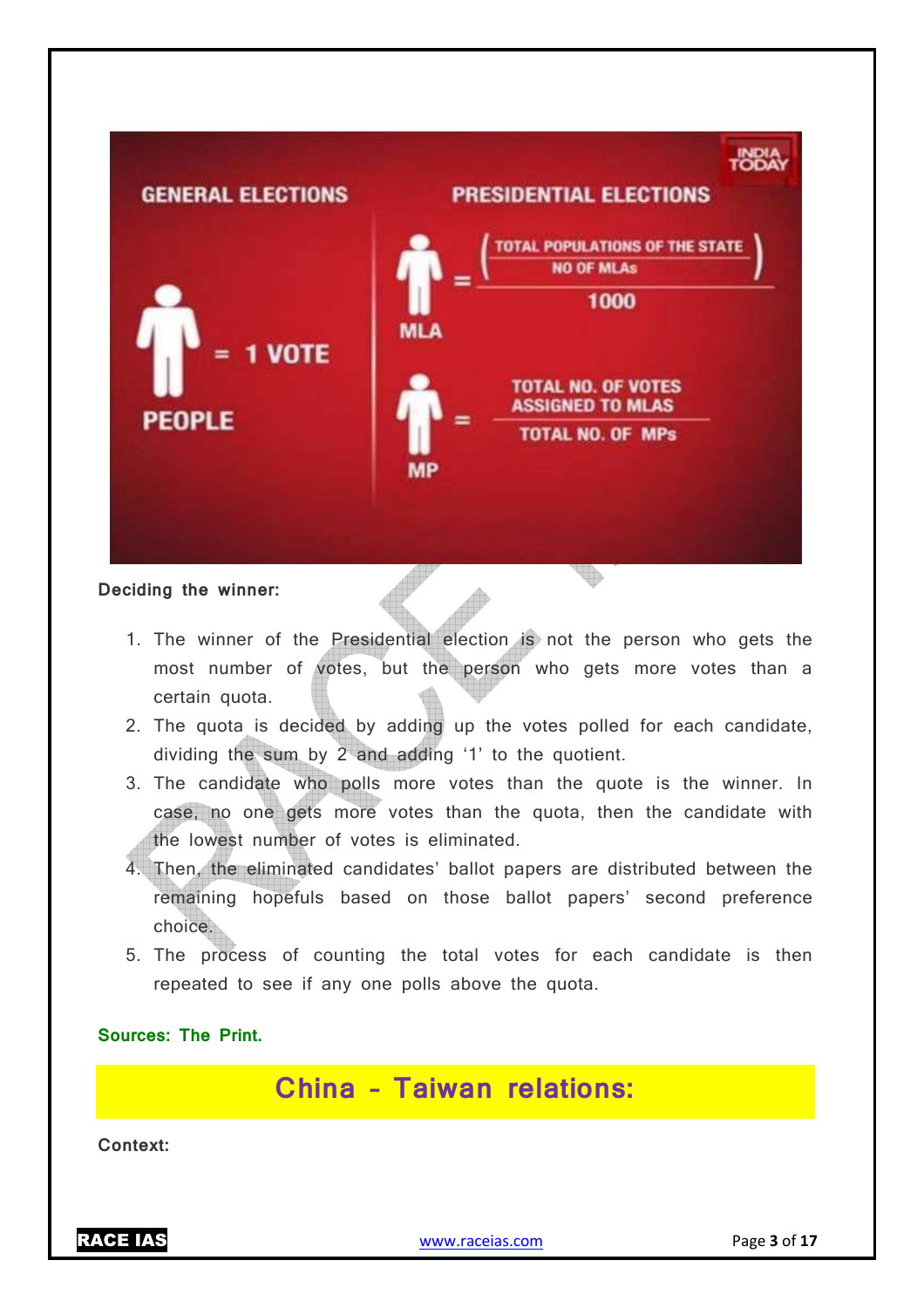

#### **Deciding the winner:**

- 1. The winner of the Presidential election is not the person who gets the most number of votes, but the person who gets more votes than a certain quota.
- 2. The quota is decided by adding up the votes polled for each candidate, dividing the sum by 2 and adding '1' to the quotient.
- 3. The candidate who polls more votes than the quote is the winner. In case, no one gets more votes than the quota, then the candidate with the lowest number of votes is eliminated.
- 4. Then, the eliminated candidates' ballot papers are distributed between the remaining hopefuls based on those ballot papers' second preference choice.
- 5. The process of counting the total votes for each candidate is then repeated to see if any one polls above the quota.

**Sources: The Print.**

**China – Taiwan relations:**

**Context:**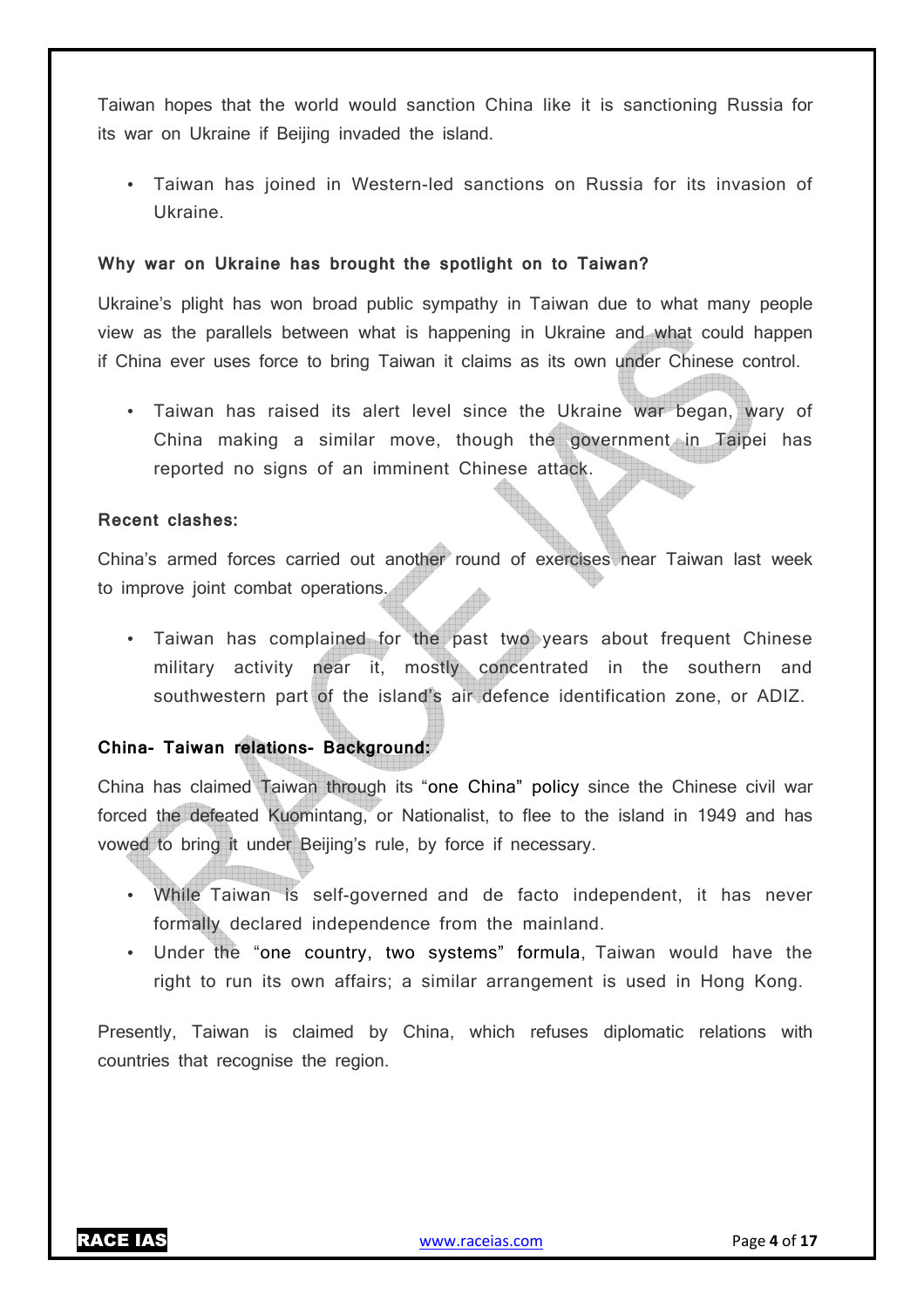Taiwan hopes that the world would sanction China like it is sanctioning Russia for its war on Ukraine if Beijing invaded the island.

• Taiwan has joined in Western-led sanctions on Russia for its invasion of Ukraine.

#### **Why war on Ukraine has brought the spotlight on to Taiwan?**

Ukraine's plight has won broad public sympathy in Taiwan due to what many people view as the parallels between what is happening in Ukraine and what could happen if China ever uses force to bring Taiwan it claims as its own under Chinese control.

• Taiwan has raised its alert level since the Ukraine war began, wary of China making a similar move, though the government in Taipei has reported no signs of an imminent Chinese attack.

#### **Recent clashes:**

China's armed forces carried out another round of exercises near Taiwan last week to improve joint combat operations.

• Taiwan has complained for the past two years about frequent Chinese military activity near it, mostly concentrated in the southern and southwestern part of the island's air defence identification zone, or ADIZ.

#### **China- Taiwan relations- Background:**

China has claimed Taiwan through its "one China" policy since the Chinese civil war forced the defeated Kuomintang, or Nationalist, to flee to the island in 1949 and has vowed to bring it under Beijing's rule, by force if necessary.

- While Taiwan is self-governed and de facto independent, it has never formally declared independence from the mainland.
- Under the "one country, two systems" formula, Taiwan would have the right to run its own affairs; a similar arrangement is used in Hong Kong.

Presently, Taiwan is claimed by China, which refuses diplomatic relations with countries that recognise the region.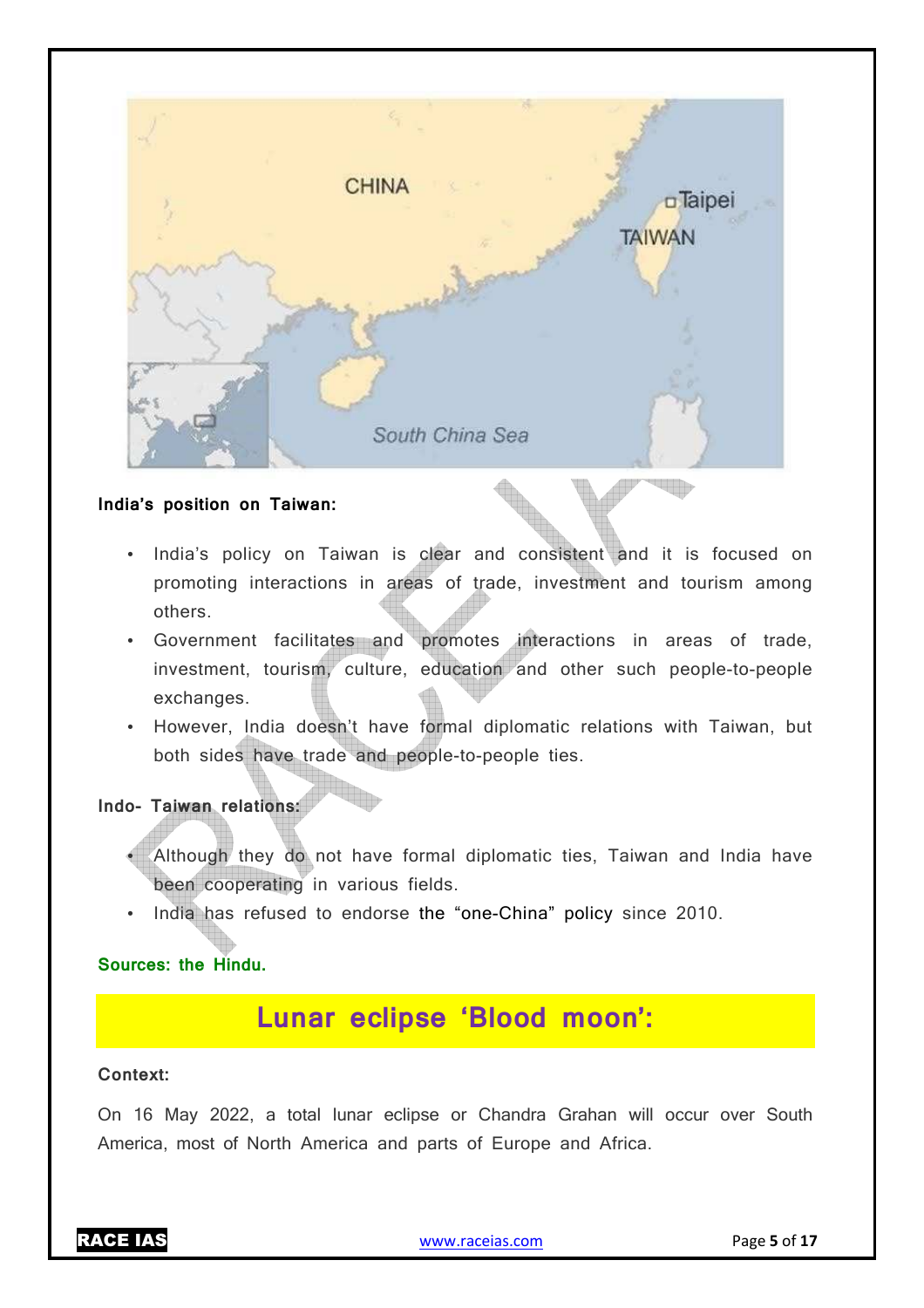

#### **India's position on Taiwan:**

- India's policy on Taiwan is clear and consistent and it is focused on promoting interactions in areas of trade, investment and tourism among others.
- Government facilitates and promotes interactions in areas of trade, investment, tourism, culture, education and other such people-to-people exchanges.
- However, India doesn't have formal diplomatic relations with Taiwan, but both sides have trade and people-to-people ties.

#### **Indo- Taiwan relations:**

- Although they do not have formal diplomatic ties, Taiwan and India have been cooperating in various fields.
- India has refused to endorse the "one-China" policy since 2010.

#### **Sources: the Hindu.**

## **Lunar eclipse 'Blood moon':**

#### **Context:**

On 16 May 2022, a total lunar eclipse or Chandra Grahan will occur over South America, most of North America and parts of Europe and Africa.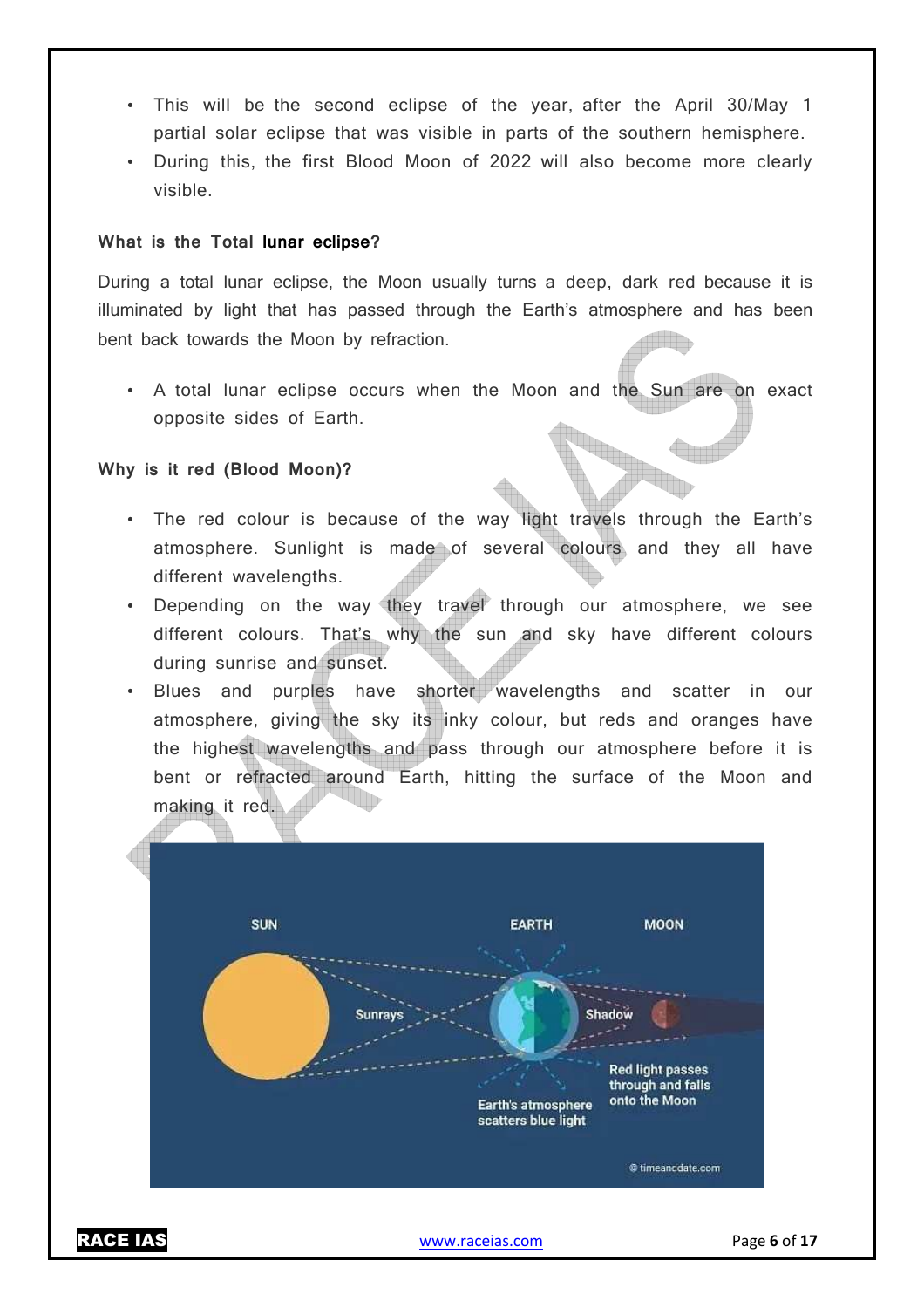- This will be the second eclipse of the year, after the April 30/May 1 partial solar eclipse that was visible in parts of the southern hemisphere.
- During this, the first Blood Moon of 2022 will also become more clearly visible.

#### **What is the Total lunar eclipse?**

During a total lunar eclipse, the Moon usually turns a deep, dark red because it is illuminated by light that has passed through the Earth's atmosphere and has been bent back towards the Moon by refraction.

• A total lunar eclipse occurs when the Moon and the Sun are on exact opposite sides of Earth.

#### **Why is it red (Blood Moon)?**

- The red colour is because of the way light travels through the Earth's atmosphere. Sunlight is made of several colours and they all have different wavelengths.
- Depending on the way they travel through our atmosphere, we see different colours. That's why the sun and sky have different colours during sunrise and sunset.
- Blues and purples have shorter wavelengths and scatter in our atmosphere, giving the sky its inky colour, but reds and oranges have the highest wavelengths and pass through our atmosphere before it is bent or refracted around Earth, hitting the surface of the Moon and making it red.



RACE IAS www.raceias.com Page **6** of **17**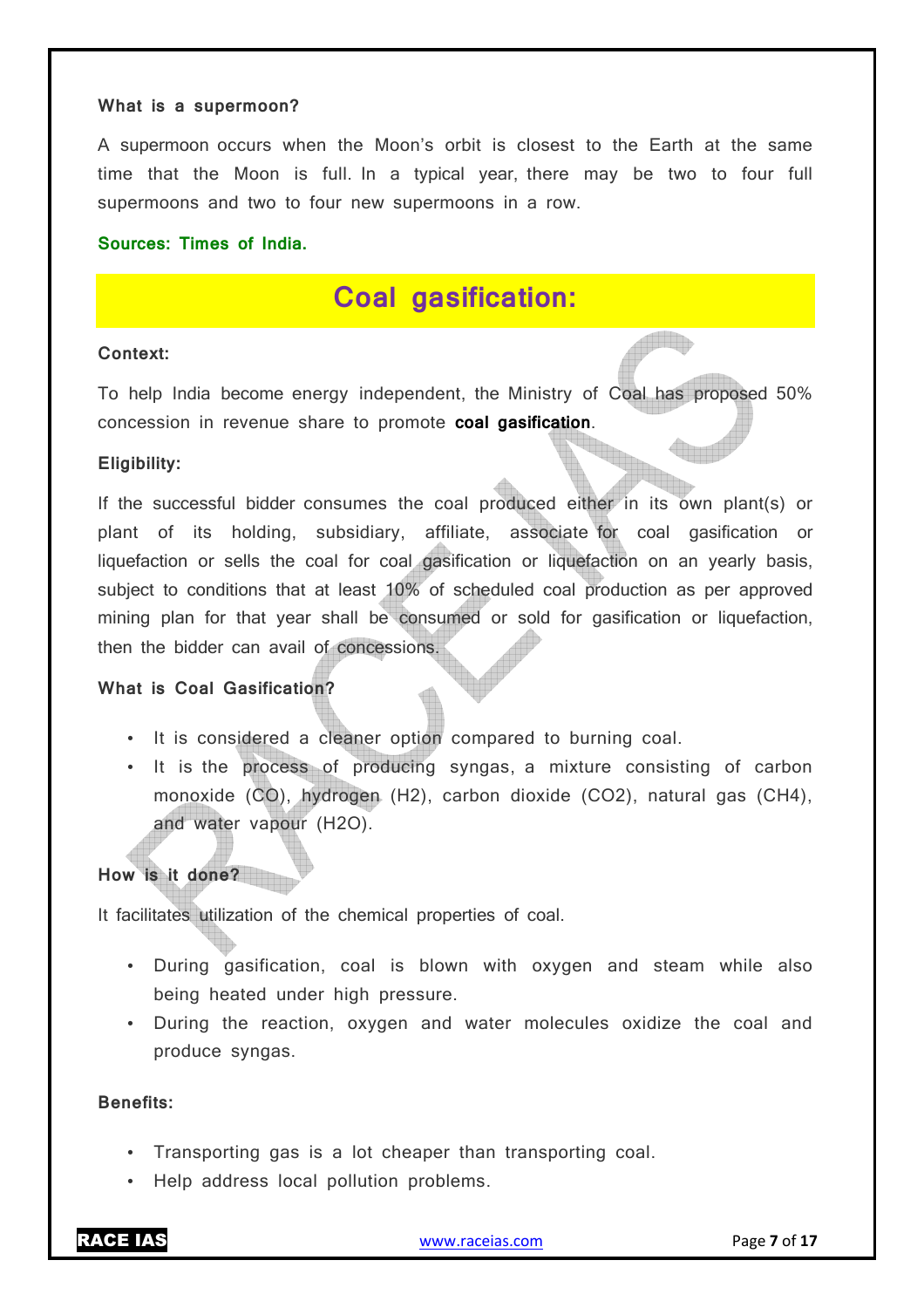#### **What is a supermoon?**

A supermoon occurs when the Moon's orbit is closest to the Earth at the same time that the Moon is full. In a typical year, there may be two to four full supermoons and two to four new supermoons in a row.

#### **Sources: Times of India.**

## **Coal gasification:**

#### **Context:**

To help India become energy independent, the Ministry of Coal has proposed 50% concession in revenue share to promote **coal gasification**.

#### **Eligibility:**

If the successful bidder consumes the coal produced either in its own plant(s) or plant of its holding, subsidiary, affiliate, associate for coal gasification or liquefaction or sells the coal for coal gasification or liquefaction on an yearly basis, subject to conditions that at least 10% of scheduled coal production as per approved mining plan for that year shall be consumed or sold for gasification or liquefaction, then the bidder can avail of concessions.

#### **What is Coal Gasification?**

- It is considered a cleaner option compared to burning coal.
- It is the process of producing syngas, a mixture consisting of carbon monoxide (CO), hydrogen (H2), carbon dioxide (CO2), natural gas (CH4), and water vapour (H2O).

#### **How is it done?**

It facilitates utilization of the chemical properties of coal.

- During gasification, coal is blown with oxygen and steam while also being heated under high pressure.
- During the reaction, oxygen and water molecules oxidize the coal and produce syngas.

#### **Benefits:**

- Transporting gas is a lot cheaper than transporting coal.
- Help address local pollution problems.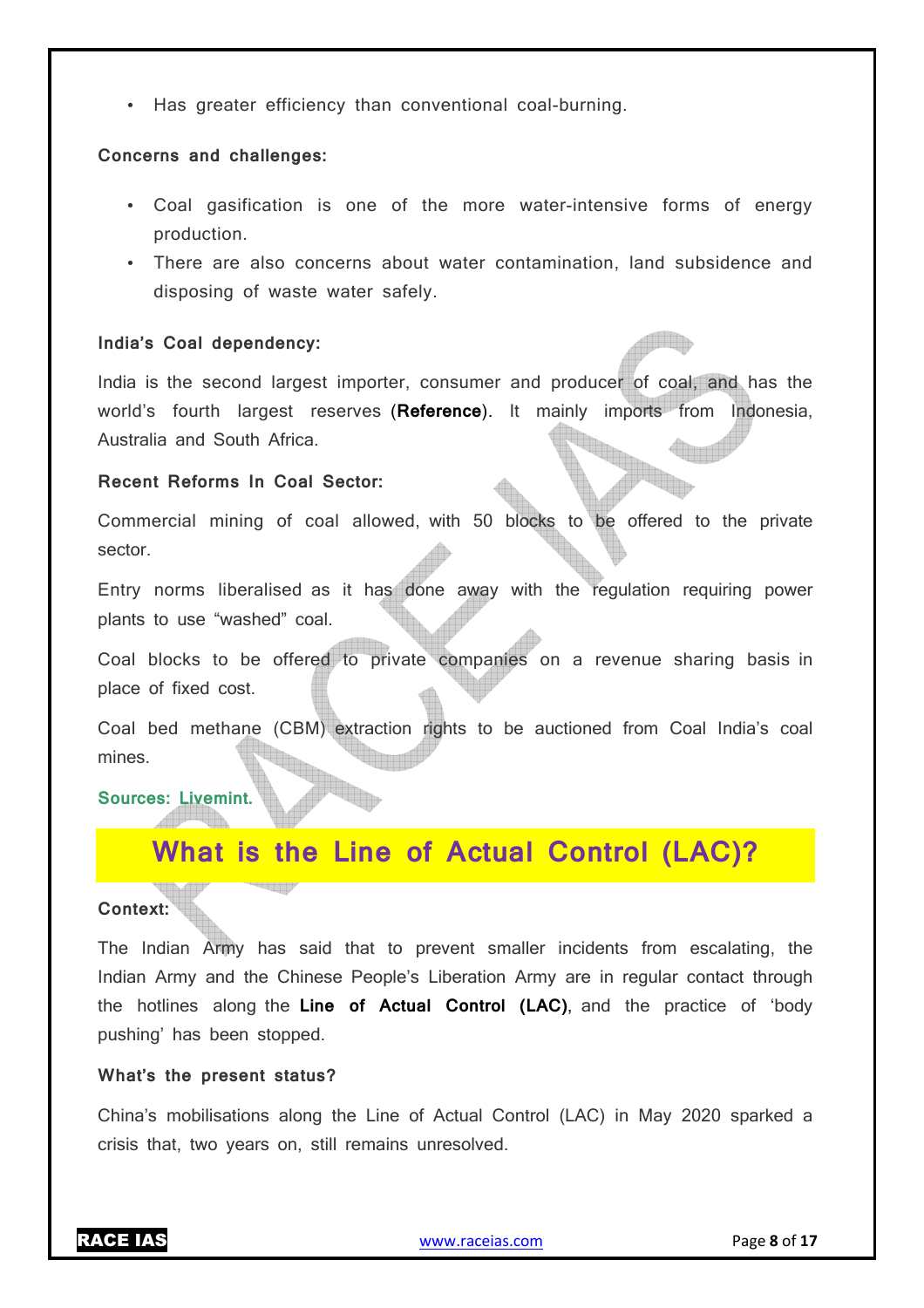• Has greater efficiency than conventional coal-burning.

#### **Concerns and challenges:**

- Coal gasification is one of the more water-intensive forms of energy production.
- There are also concerns about water contamination, land subsidence and disposing of waste water safely.

#### **India's Coal dependency:**

India is the second largest importer, consumer and producer of coal, and has the world's fourth largest reserves (**Reference**). It mainly imports from Indonesia, Australia and South Africa.

#### **Recent Reforms In Coal Sector:**

Commercial mining of coal allowed, with 50 blocks to be offered to the private sector.

Entry norms liberalised as it has done away with the regulation requiring power plants to use "washed" coal.

Coal blocks to be offered to private companies on a revenue sharing basis in place of fixed cost.

Coal bed methane (CBM) extraction rights to be auctioned from Coal India's coal mines.

#### **Sources: Livemint.**

## **What is the Line of Actual Control (LAC)?**

#### **Context:**

The Indian Army has said that to prevent smaller incidents from escalating, the Indian Army and the Chinese People's Liberation Army are in regular contact through the hotlines along the **Line of Actual Control (LAC)**, and the practice of 'body pushing' has been stopped.

#### **What's the present status?**

China's mobilisations along the Line of Actual Control (LAC) in May 2020 sparked a crisis that, two years on, still remains unresolved.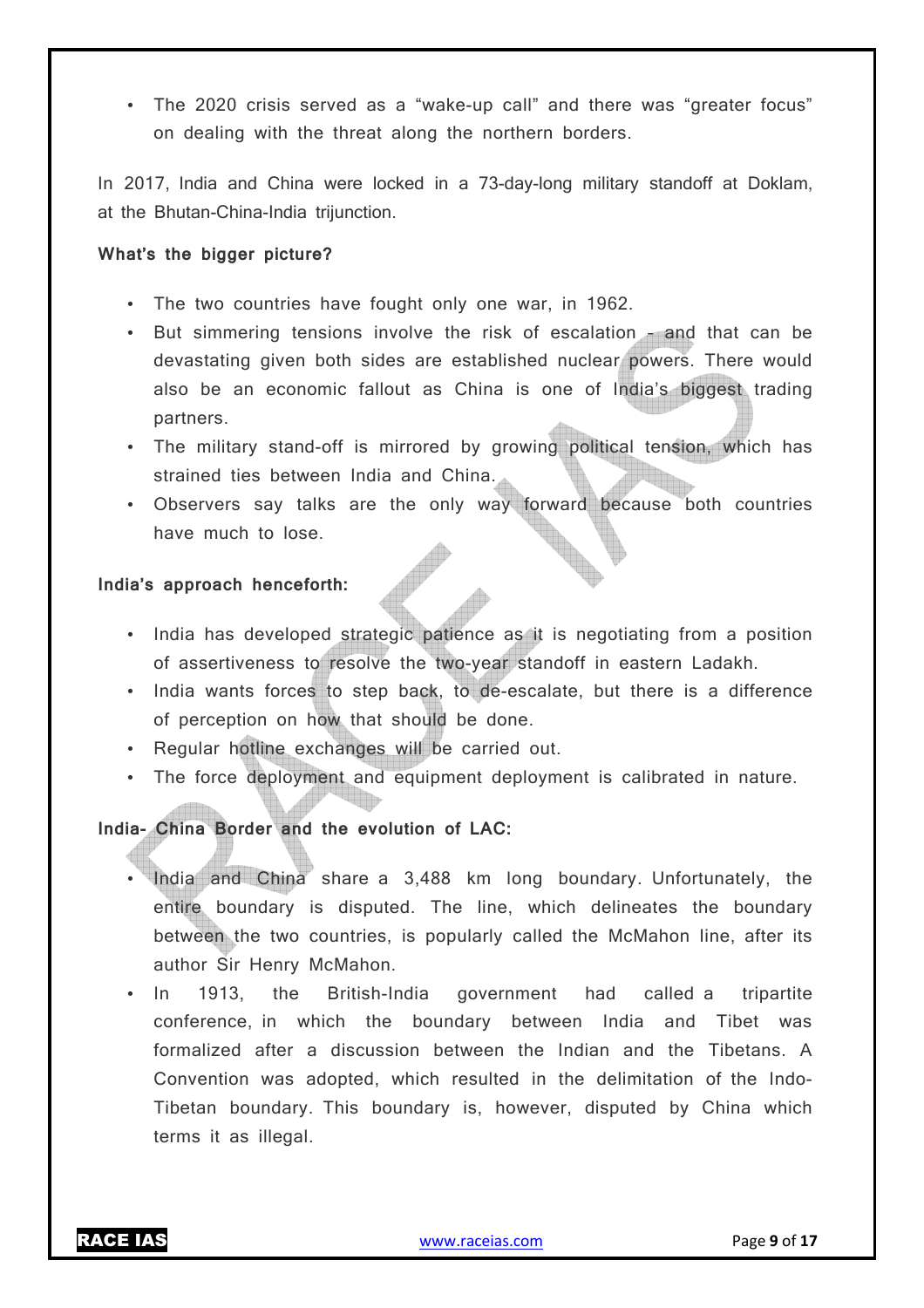• The 2020 crisis served as a "wake-up call" and there was "greater focus" on dealing with the threat along the northern borders.

In 2017, India and China were locked in a 73-day-long military standoff at Doklam, at the Bhutan-China-India trijunction.

#### **What's the bigger picture?**

- The two countries have fought only one war, in 1962.
- But simmering tensions involve the risk of escalation and that can be devastating given both sides are established nuclear powers. There would also be an economic fallout as China is one of India's biggest trading partners.
- The military stand-off is mirrored by growing political tension, which has strained ties between India and China.
- Observers say talks are the only way forward because both countries have much to lose.

#### **India's approach henceforth:**

- India has developed strategic patience as it is negotiating from a position of assertiveness to resolve the two-year standoff in eastern Ladakh.
- India wants forces to step back, to de-escalate, but there is a difference of perception on how that should be done.
- Regular hotline exchanges will be carried out.
- The force deployment and equipment deployment is calibrated in nature.

#### **India- China Border and the evolution of LAC:**

- India and China share a 3,488 km long boundary. Unfortunately, the entire boundary is disputed. The line, which delineates the boundary between the two countries, is popularly called the McMahon line, after its author Sir Henry McMahon.
- In 1913, the British-India government had called a tripartite conference, in which the boundary between India and Tibet was formalized after a discussion between the Indian and the Tibetans. A Convention was adopted, which resulted in the delimitation of the Indo-Tibetan boundary. This boundary is, however, disputed by China which terms it as illegal.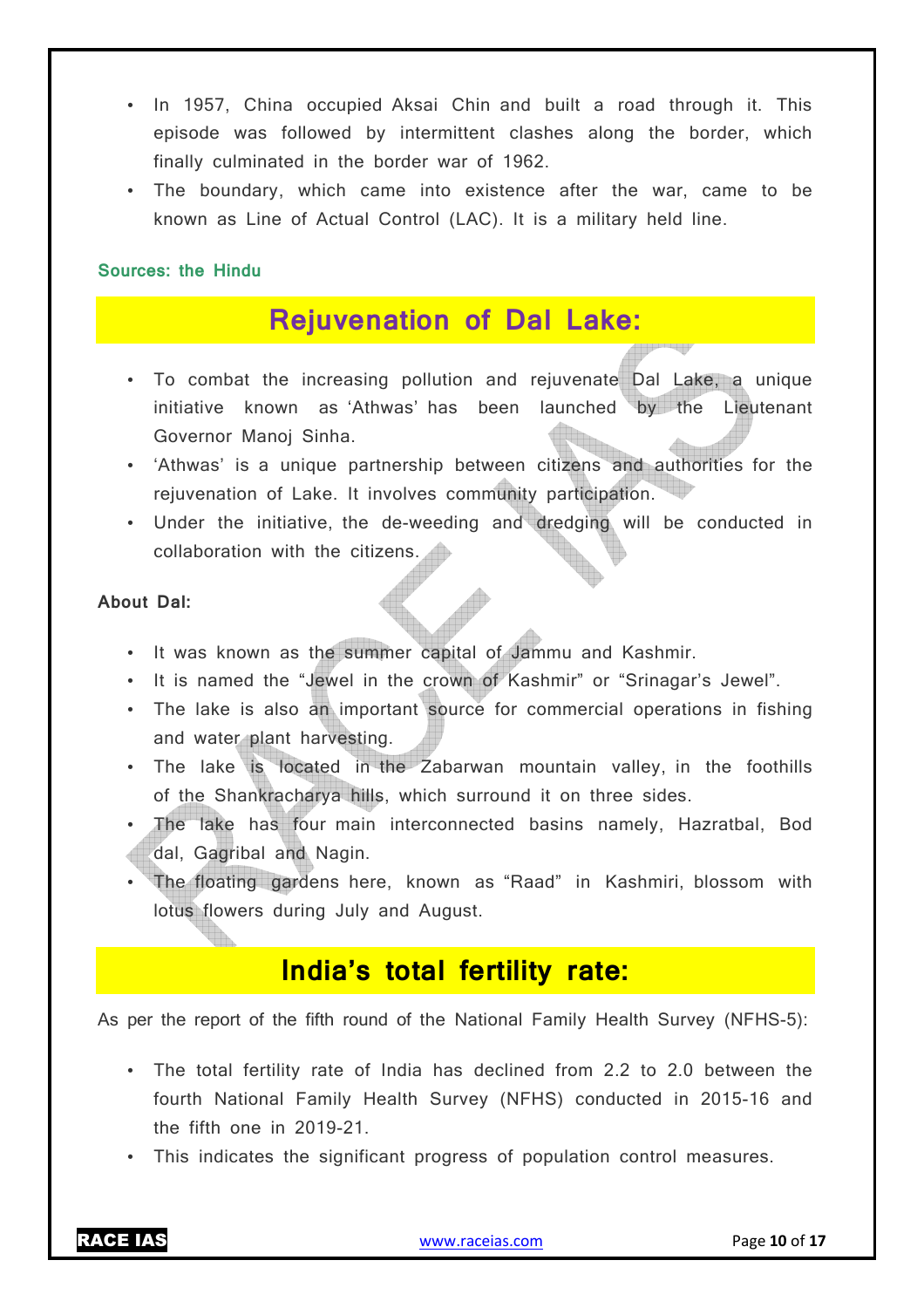- In 1957, China occupied Aksai Chin and built a road through it. This episode was followed by intermittent clashes along the border, which finally culminated in the border war of 1962.
- The boundary, which came into existence after the war, came to be known as Line of Actual Control (LAC). It is a military held line.

#### **Sources: the Hindu**

## **Rejuvenation of Dal Lake:**

- To combat the increasing pollution and rejuvenate Dal Lake, a unique initiative known as 'Athwas' has been launched by the Lieutenant Governor Manoj Sinha.
- 'Athwas' is a unique partnership between citizens and authorities for the rejuvenation of Lake. It involves community participation.
- Under the initiative, the de-weeding and dredging will be conducted in collaboration with the citizens.

#### **About Dal:**

- It was known as the summer capital of Jammu and Kashmir.
- It is named the "Jewel in the crown of Kashmir" or "Srinagar's Jewel".
- The lake is also an important source for commercial operations in fishing and water plant harvesting.
- The lake is located in the Zabarwan mountain valley, in the foothills of the Shankracharya hills, which surround it on three sides.
- The lake has four main interconnected basins namely, Hazratbal, Bod dal, Gagribal and Nagin.
- The floating gardens here, known as "Raad" in Kashmiri, blossom with lotus flowers during July and August.

## **India's total fertility rate:**

As per the report of the fifth round of the National Family Health Survey (NFHS-5):

- The total fertility rate of India has declined from 2.2 to 2.0 between the fourth National Family Health Survey (NFHS) conducted in 2015-16 and the fifth one in 2019-21.
- This indicates the significant progress of population control measures.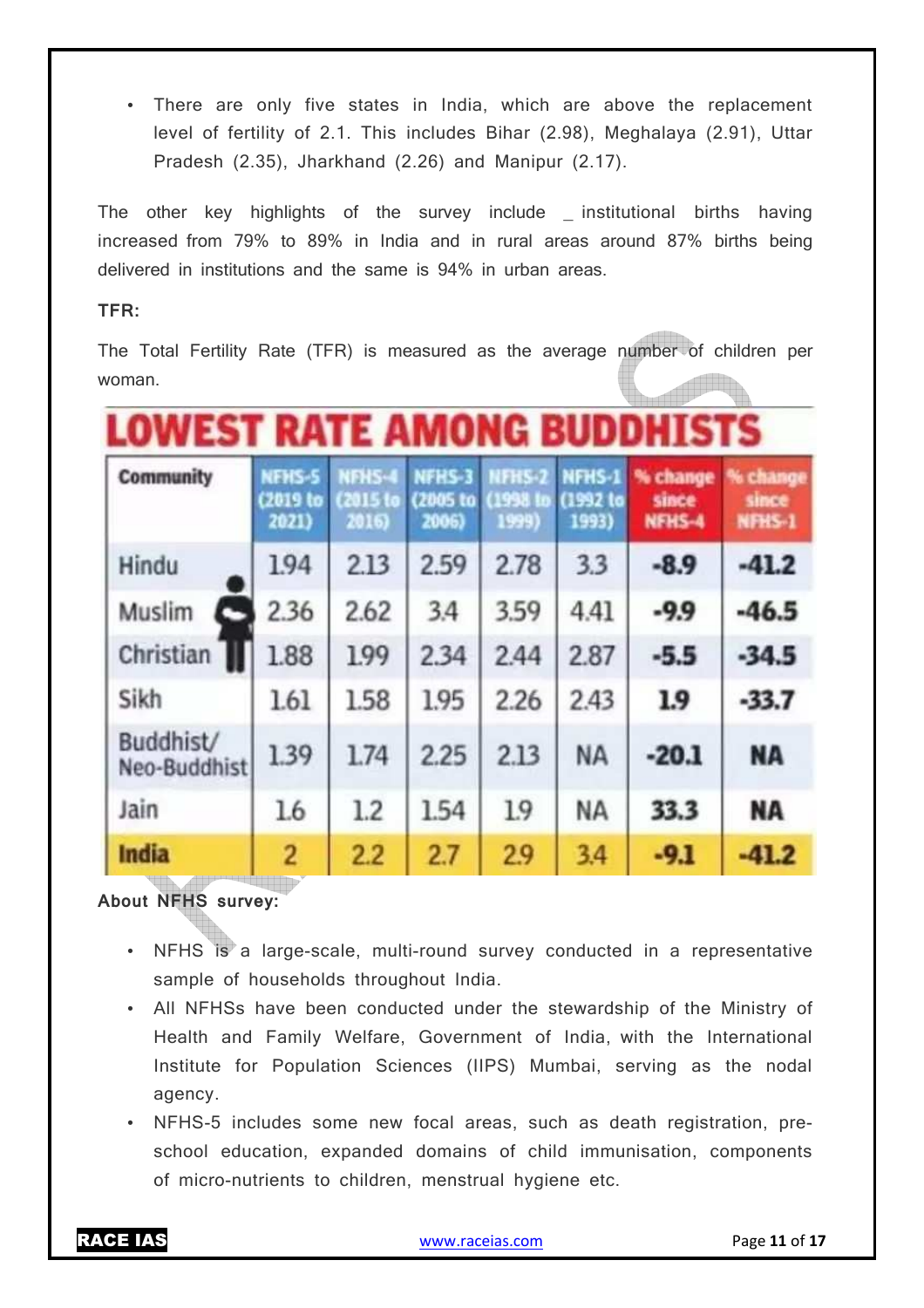• There are only five states in India, which are above the replacement level of fertility of 2.1. This includes Bihar (2.98), Meghalaya (2.91), Uttar Pradesh (2.35), Jharkhand (2.26) and Manipur (2.17).

The other key highlights of the survey include \_ institutional births having increased from 79% to 89% in India and in rural areas around 87% births being delivered in institutions and the same is 94% in urban areas.

#### **TFR:**

The Total Fertility Rate (TFR) is measured as the average number of children per woman.

# **LOWEST RATE AMONG BUDDHIS'**

| <b>Community</b>          | NFHS-5<br>(2019 to<br>2021) | NFH <sub>5-4</sub><br><b>PO15</b> to<br>2016) | NFHS-3<br>(2005 to )<br>2006) | <b>NFHS-2</b><br>(1998 in<br>1999) | NFHS-1<br>(1992 to<br>1993) | % change<br>since<br>NFHS-4 | % change<br>since<br>NFHS-1 |
|---------------------------|-----------------------------|-----------------------------------------------|-------------------------------|------------------------------------|-----------------------------|-----------------------------|-----------------------------|
| Hindu                     | 194                         | 2.13                                          | 2.59                          | 2.78                               | 3.3                         | $-8.9$                      | $-41.2$                     |
| Muslim                    | 2.36                        | 2.62                                          | 3.4                           | 3.59                               | 4.41                        | $-9.9$                      | $-46.5$                     |
| Christian                 | 1.88                        | 199                                           | 2.34                          | 2.44                               | 2.87                        | $-5.5$                      | $-34.5$                     |
| Sikh                      | 1.61                        | 1.58                                          | 1.95                          | 2.26                               | 2.43                        | 1.9                         | $-33.7$                     |
| Buddhist/<br>Neo-Buddhist | 1.39                        | 1.74                                          | 2.25                          | 2.13                               | <b>NA</b>                   | $-20.1$                     | <b>NA</b>                   |
| Jain                      | 1.6                         | 1.2                                           | 1.54                          | 1.9                                | <b>NA</b>                   | 33.3                        | <b>NA</b>                   |
| <b>India</b>              | 2                           | 2.2                                           | 2.7                           | 2.9                                | 3.4                         | $-9.1$                      | $-41.2$                     |

**About NFHS survey:** 

- NFHS is a large-scale, multi-round survey conducted in a representative sample of households throughout India.
- All NFHSs have been conducted under the stewardship of the Ministry of Health and Family Welfare, Government of India, with the International Institute for Population Sciences (IIPS) Mumbai, serving as the nodal agency.
- NFHS-5 includes some new focal areas, such as death registration, preschool education, expanded domains of child immunisation, components of micro-nutrients to children, menstrual hygiene etc.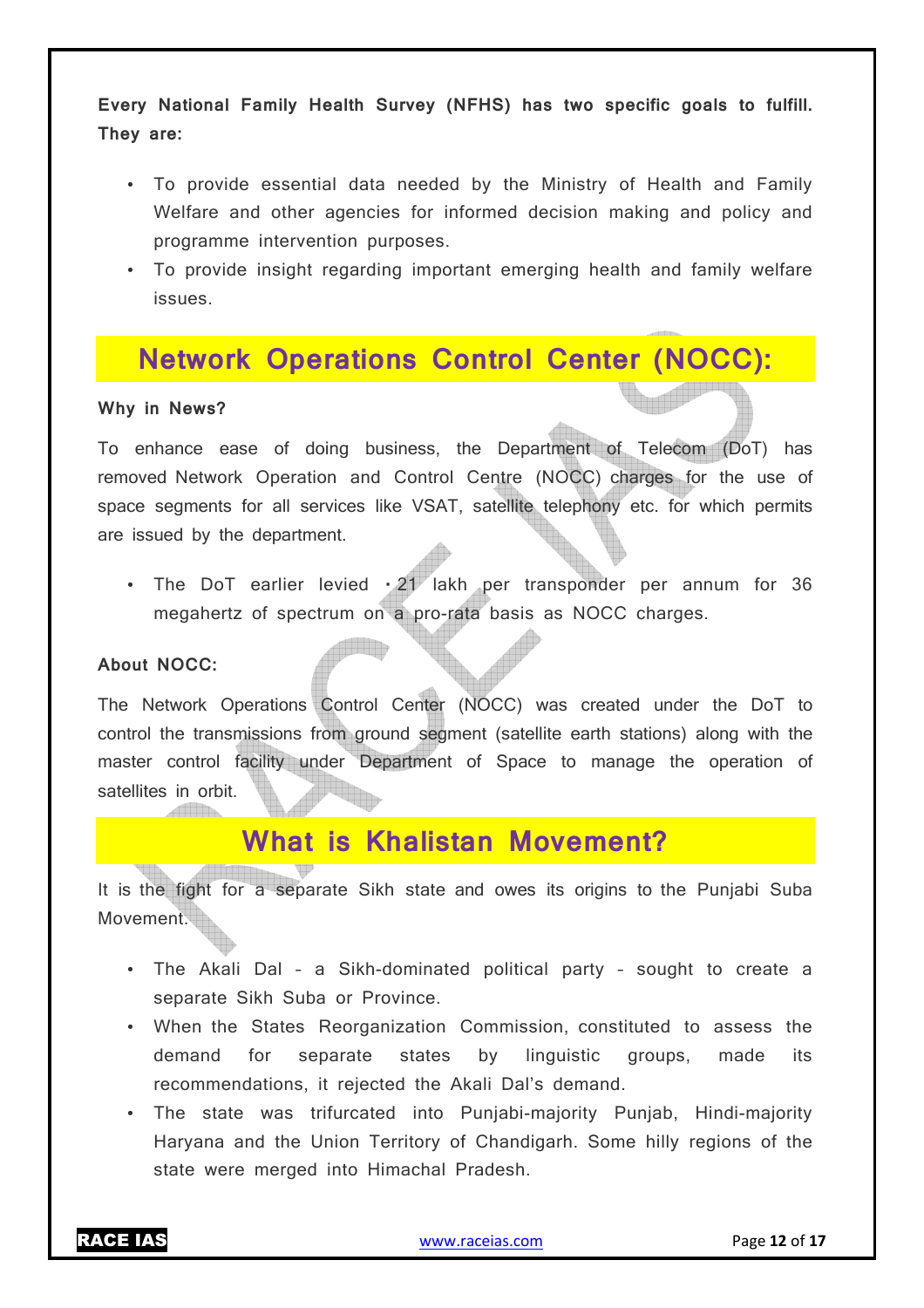**Every National Family Health Survey (NFHS) has two specific goals to fulfill. They are:** 

- To provide essential data needed by the Ministry of Health and Family Welfare and other agencies for informed decision making and policy and programme intervention purposes.
- To provide insight regarding important emerging health and family welfare issues.

## **Network Operations Control Center (NOCC):**

#### **Why in News?**

To enhance ease of doing business, the Department of Telecom (DoT) has removed Network Operation and Control Centre (NOCC) charges for the use of space segments for all services like VSAT, satellite telephony etc. for which permits are issued by the department.

• The DoT earlier levied  $\cdot$  21 lakh per transponder per annum for 36 megahertz of spectrum on a pro-rata basis as NOCC charges.

#### **About NOCC:**

The Network Operations Control Center (NOCC) was created under the DoT to control the transmissions from ground segment (satellite earth stations) along with the master control facility under Department of Space to manage the operation of satellites in orbit.

### **What is Khalistan Movement?**

It is the fight for a separate Sikh state and owes its origins to the Punjabi Suba Movement.

- The Akali Dal a Sikh-dominated political party sought to create a separate Sikh Suba or Province.
- When the States Reorganization Commission, constituted to assess the demand for separate states by linguistic groups, made its recommendations, it rejected the Akali Dal's demand.
- The state was trifurcated into Punjabi-majority Punjab, Hindi-majority Haryana and the Union Territory of Chandigarh. Some hilly regions of the state were merged into Himachal Pradesh.

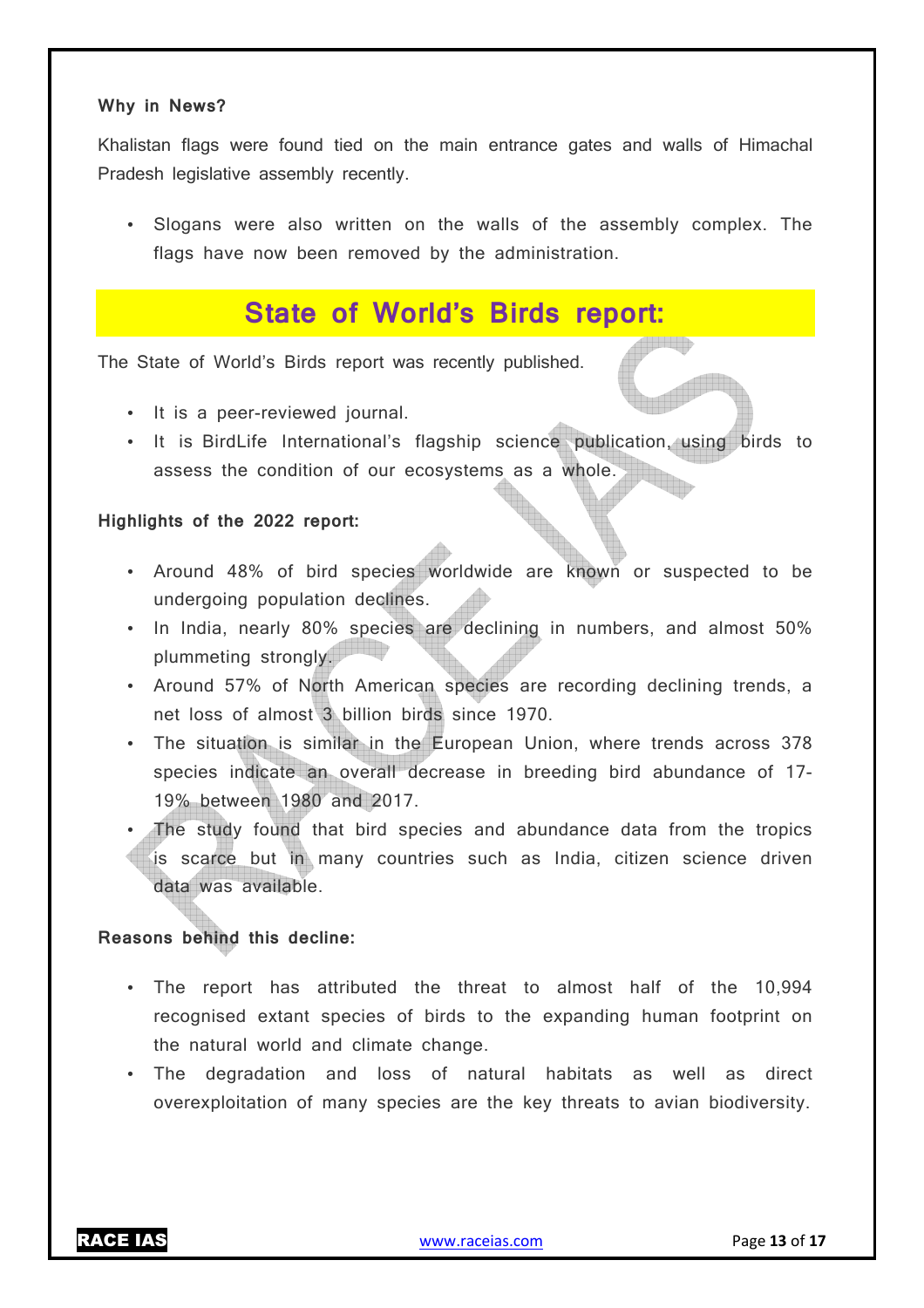#### **Why in News?**

Khalistan flags were found tied on the main entrance gates and walls of Himachal Pradesh legislative assembly recently.

• Slogans were also written on the walls of the assembly complex. The flags have now been removed by the administration.

## **State of World's Birds report:**

The State of World's Birds report was recently published.

- It is a peer-reviewed journal.
- It is BirdLife International's flagship science publication, using birds to assess the condition of our ecosystems as a whole.

#### **Highlights of the 2022 report:**

- Around 48% of bird species worldwide are known or suspected to be undergoing population declines.
- In India, nearly 80% species are declining in numbers, and almost 50% plummeting strongly.
- Around 57% of North American species are recording declining trends, a net loss of almost 3 billion birds since 1970.
- The situation is similar in the European Union, where trends across 378 species indicate an overall decrease in breeding bird abundance of 17- 19% between 1980 and 2017.
- The study found that bird species and abundance data from the tropics is scarce but in many countries such as India, citizen science driven data was available.

#### **Reasons behind this decline:**

- The report has attributed the threat to almost half of the 10,994 recognised extant species of birds to the expanding human footprint on the natural world and climate change.
- The degradation and loss of natural habitats as well as direct overexploitation of many species are the key threats to avian biodiversity.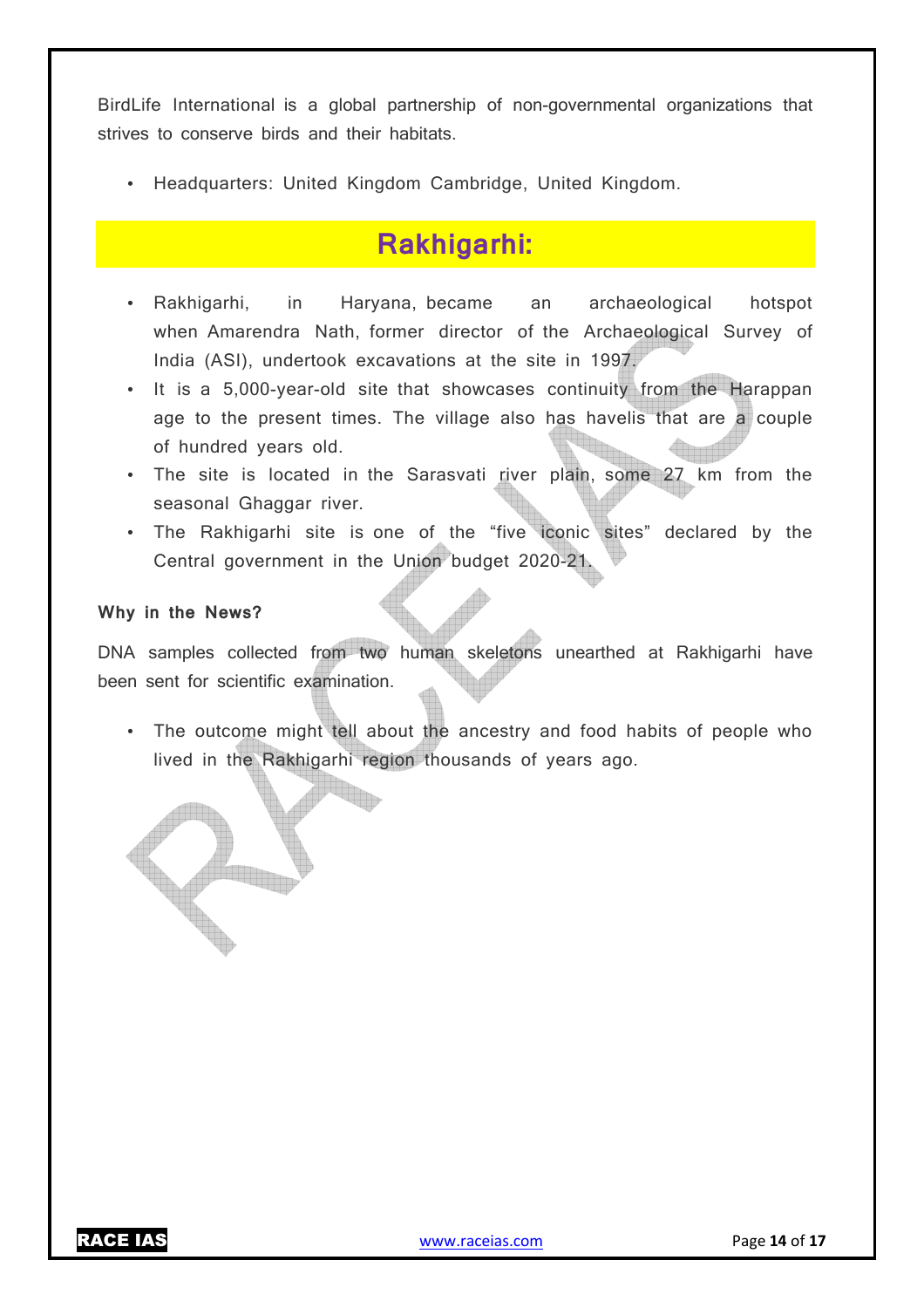BirdLife International is a global partnership of non-governmental organizations that strives to conserve birds and their habitats.

• Headquarters: United Kingdom Cambridge, United Kingdom.

## **Rakhigarhi:**

- Rakhigarhi, in Haryana, became an archaeological hotspot when Amarendra Nath, former director of the Archaeological Survey of India (ASI), undertook excavations at the site in 1997.
- It is a 5,000-year-old site that showcases continuity from the Harappan age to the present times. The village also has havelis that are a couple of hundred years old.
- The site is located in the Sarasvati river plain, some 27 km from the seasonal Ghaggar river.
- The Rakhigarhi site is one of the "five iconic sites" declared by the Central government in the Union budget 2020-21.

#### **Why in the News?**

DNA samples collected from two human skeletons unearthed at Rakhigarhi have been sent for scientific examination.

• The outcome might tell about the ancestry and food habits of people who lived in the Rakhigarhi region thousands of years ago.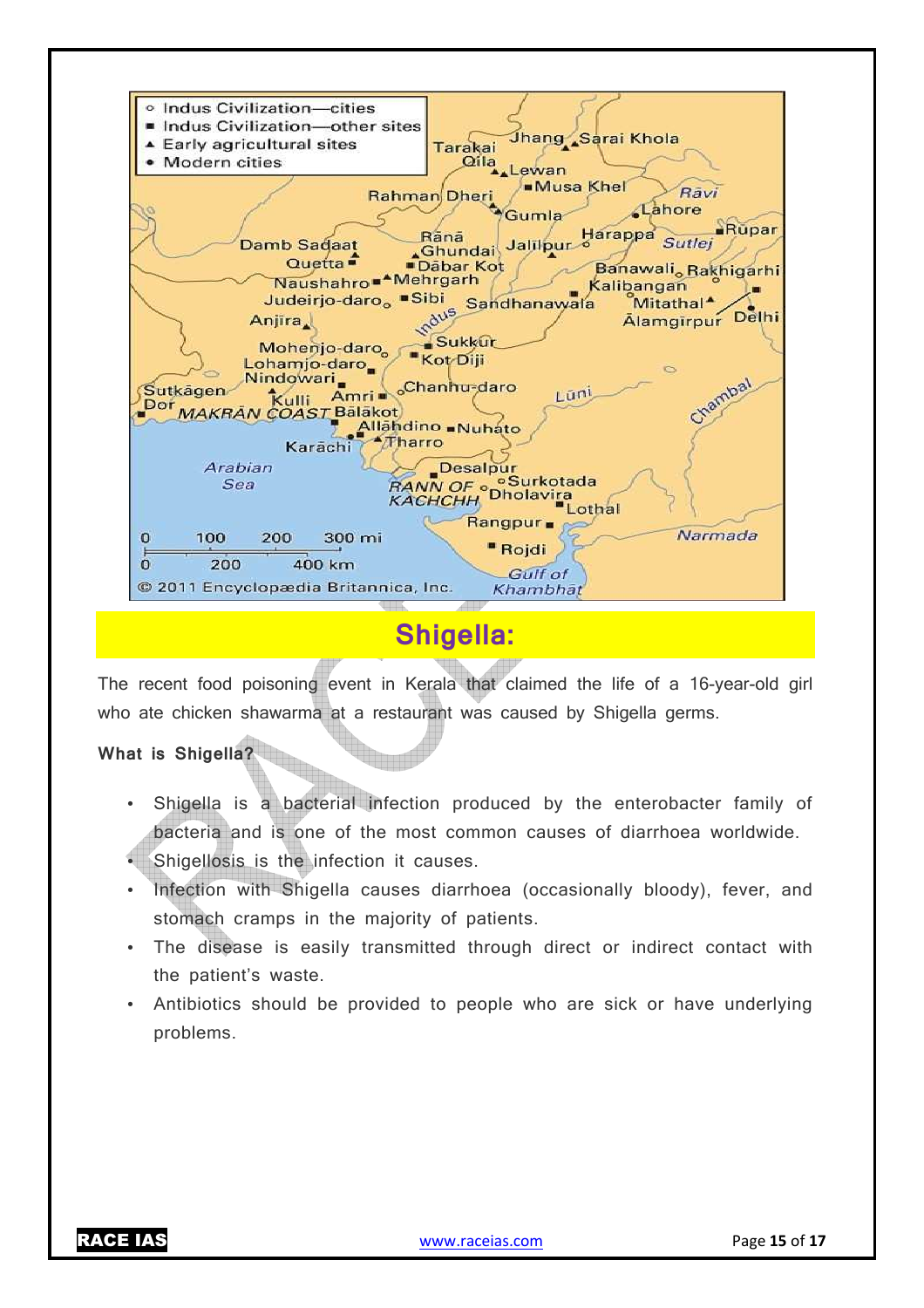

## **Shigella:**

The recent food poisoning event in Kerala that claimed the life of a 16-year-old girl who ate chicken shawarma at a restaurant was caused by Shigella germs.

#### **What is Shigella?**

- Shigella is a bacterial infection produced by the enterobacter family of bacteria and is one of the most common causes of diarrhoea worldwide.
- Shigellosis is the infection it causes.
- Infection with Shigella causes diarrhoea (occasionally bloody), fever, and stomach cramps in the majority of patients.
- The disease is easily transmitted through direct or indirect contact with the patient's waste.
- Antibiotics should be provided to people who are sick or have underlying problems.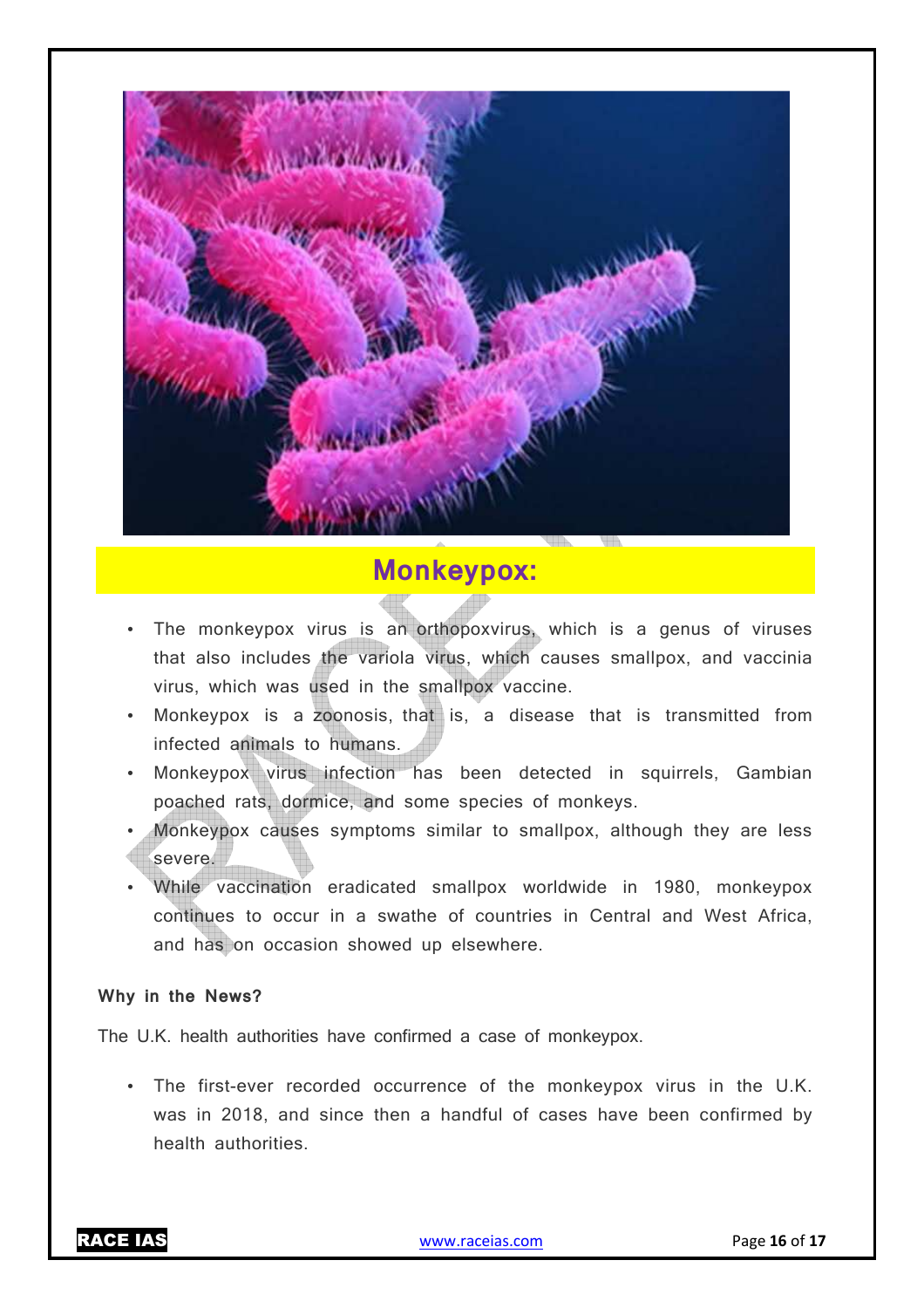

## **Monkeypox:**

- The monkeypox virus is an orthopoxvirus, which is a genus of viruses that also includes the variola virus, which causes smallpox, and vaccinia virus, which was used in the smallpox vaccine.
- Monkeypox is a zoonosis, that is, a disease that is transmitted from infected animals to humans.
- Monkeypox virus infection has been detected in squirrels, Gambian poached rats, dormice, and some species of monkeys.
- Monkeypox causes symptoms similar to smallpox, although they are less severe.
- While vaccination eradicated smallpox worldwide in 1980, monkeypox continues to occur in a swathe of countries in Central and West Africa, and has on occasion showed up elsewhere.

#### **Why in the News?**

The U.K. health authorities have confirmed a case of monkeypox.

• The first-ever recorded occurrence of the monkeypox virus in the U.K. was in 2018, and since then a handful of cases have been confirmed by health authorities.